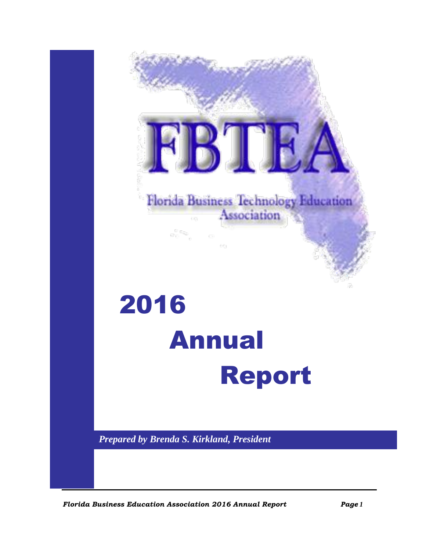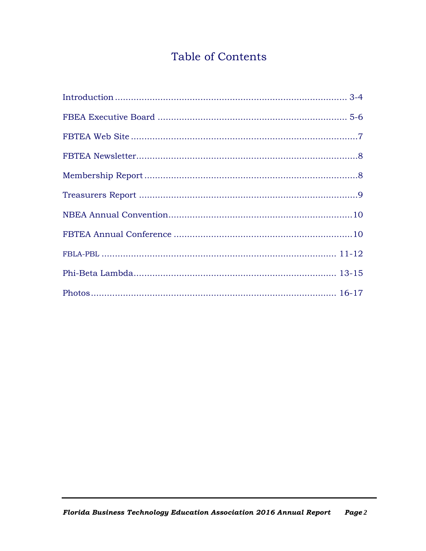## Table of Contents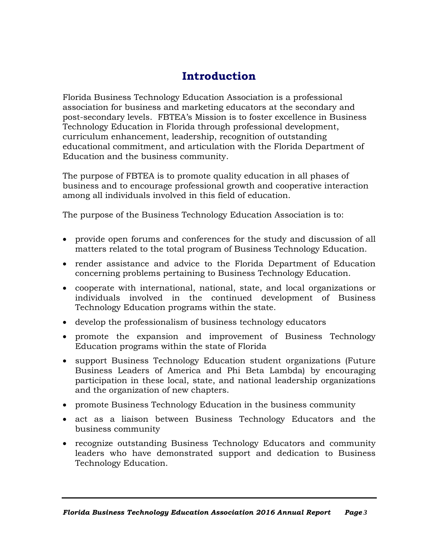## **Introduction**

Florida Business Technology Education Association is a professional association for business and marketing educators at the secondary and post-secondary levels. FBTEA's Mission is to foster excellence in Business Technology Education in Florida through professional development, curriculum enhancement, leadership, recognition of outstanding educational commitment, and articulation with the Florida Department of Education and the business community.

The purpose of FBTEA is to promote quality education in all phases of business and to encourage professional growth and cooperative interaction among all individuals involved in this field of education.

The purpose of the Business Technology Education Association is to:

- provide open forums and conferences for the study and discussion of all matters related to the total program of Business Technology Education.
- render assistance and advice to the Florida Department of Education concerning problems pertaining to Business Technology Education.
- cooperate with international, national, state, and local organizations or individuals involved in the continued development of Business Technology Education programs within the state.
- develop the professionalism of business technology educators
- promote the expansion and improvement of Business Technology Education programs within the state of Florida
- support Business Technology Education student organizations (Future Business Leaders of America and Phi Beta Lambda) by encouraging participation in these local, state, and national leadership organizations and the organization of new chapters.
- promote Business Technology Education in the business community
- act as a liaison between Business Technology Educators and the business community
- recognize outstanding Business Technology Educators and community leaders who have demonstrated support and dedication to Business Technology Education.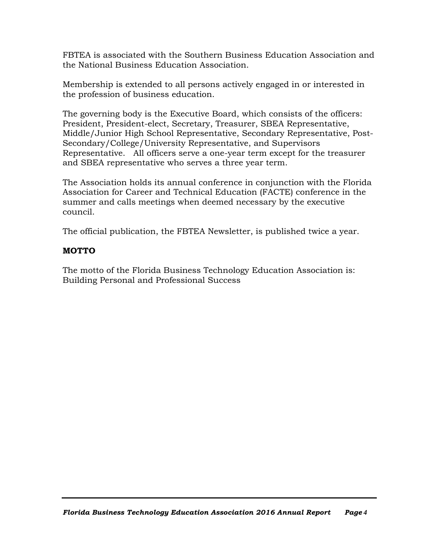FBTEA is associated with the Southern Business Education Association and the National Business Education Association.

Membership is extended to all persons actively engaged in or interested in the profession of business education.

The governing body is the Executive Board, which consists of the officers: President, President-elect, Secretary, Treasurer, SBEA Representative, Middle/Junior High School Representative, Secondary Representative, Post-Secondary/College/University Representative, and Supervisors Representative. All officers serve a one-year term except for the treasurer and SBEA representative who serves a three year term.

The Association holds its annual conference in conjunction with the Florida Association for Career and Technical Education (FACTE) conference in the summer and calls meetings when deemed necessary by the executive council.

The official publication, the FBTEA Newsletter, is published twice a year.

### **MOTTO**

The motto of the Florida Business Technology Education Association is: Building Personal and Professional Success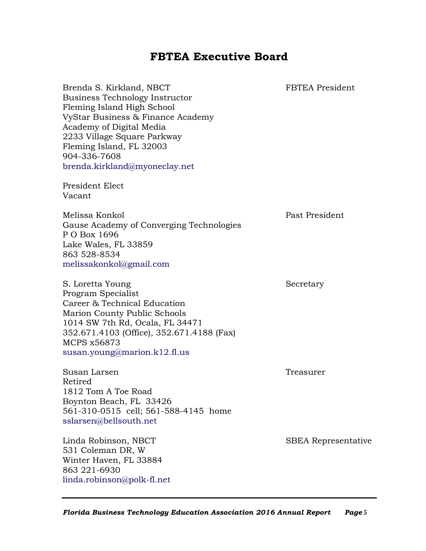### **FBTEA Executive Board**

| Brenda S. Kirkland, NBCT<br>Business Technology Instructor<br>Fleming Island High School<br>VyStar Business & Finance Academy<br>Academy of Digital Media<br>2233 Village Square Parkway<br>Fleming Island, FL 32003<br>904-336-7608<br>brenda.kirkland@myoneclay.net<br>President Elect | FBTEA President            |
|------------------------------------------------------------------------------------------------------------------------------------------------------------------------------------------------------------------------------------------------------------------------------------------|----------------------------|
| Vacant                                                                                                                                                                                                                                                                                   |                            |
| Melissa Konkol<br>Gause Academy of Converging Technologies<br>P O Box 1696<br>Lake Wales, FL 33859<br>863 528-8534<br>melissakonkol@gmail.com                                                                                                                                            | Past President             |
| S. Loretta Young<br>Program Specialist<br>Career & Technical Education<br><b>Marion County Public Schools</b><br>1014 SW 7th Rd, Ocala, FL 34471<br>352.671.4103 (Office), 352.671.4188 (Fax)<br>MCPS x56873<br>susan.young@marion.k12.fl.us                                             | Secretary                  |
| Susan Larsen<br>Retired<br>1812 Tom A Toe Road<br>Boynton Beach, FL 33426<br>561-310-0515 cell; 561-588-4145 home<br>sslarsen@bellsouth.net                                                                                                                                              | Treasurer                  |
| Linda Robinson, NBCT<br>531 Coleman DR, W<br>Winter Haven, FL 33884<br>863 221-6930<br>linda.robinson@polk-fl.net                                                                                                                                                                        | <b>SBEA</b> Representative |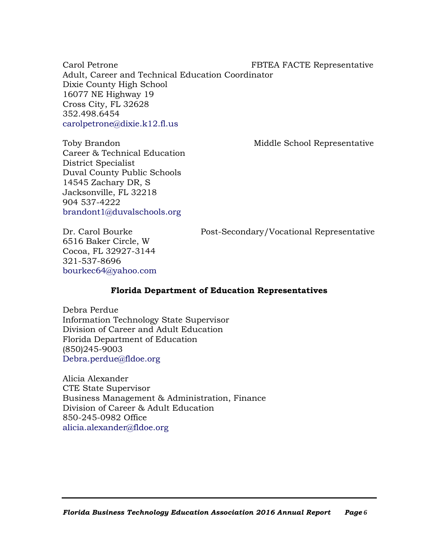Carol Petrone **FBTEA FACTE** Representative Adult, Career and Technical Education Coordinator Dixie County High School 16077 NE Highway 19 Cross City, FL 32628 352.498.6454 [carolpetrone@dixie.k12.fl.us](mailto:carolpetrone@dixie.k12.fl.us)

Toby Brandon Middle School Representative Career & Technical Education District Specialist Duval County Public Schools 14545 Zachary DR, S Jacksonville, FL 32218 904 537-4222 [brandont1@duvalschools.org](mailto:brandont1@duvalschools.org)

6516 Baker Circle, W Cocoa, FL 32927-3144 321-537-8696 [bourkec64@yahoo.com](mailto:bourkec64@yahoo.com)

Dr. Carol Bourke Post-Secondary/Vocational Representative

#### **Florida Department of Education Representatives**

Debra Perdue Information Technology State Supervisor Division of Career and Adult Education Florida Department of Education (850)245-9003 [Debra.perdue@fldoe.org](mailto:Debra.perdue@fldoe.org)

Alicia Alexander CTE State Supervisor Business Management & Administration, Finance Division of Career & Adult Education 850-245-0982 Office [alicia.alexander@fldoe.org](mailto:alicia.alexander@fldoe.org)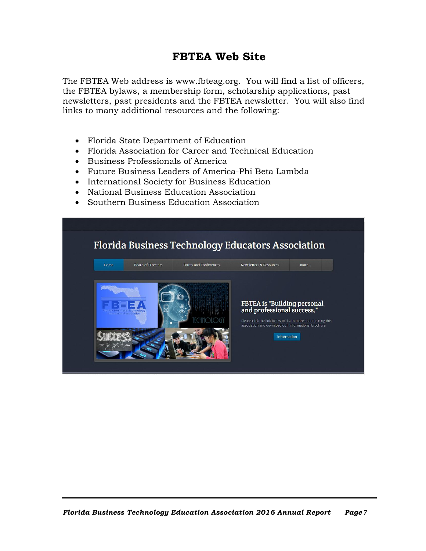## **FBTEA Web Site**

The FBTEA Web address is www.fbteag.org. You will find a list of officers, the FBTEA bylaws, a membership form, scholarship applications, past newsletters, past presidents and the FBTEA newsletter. You will also find links to many additional resources and the following:

- [Florida State Department of Education](http://www.alsde.edu/)
- Florida Association for Career and Technical Education
- [Business](http://www.dpe.org/) Professionals of America
- [Future Business Leaders of America-Phi Beta Lambda](http://www.fbla-pbl.org/)
- [International Society for Business Education](http://www.siec-isbe.org/)
- [National Business Education Association](http://www.nbea.org/)
- [Southern Business Education Association](http://www.sbea.org/)

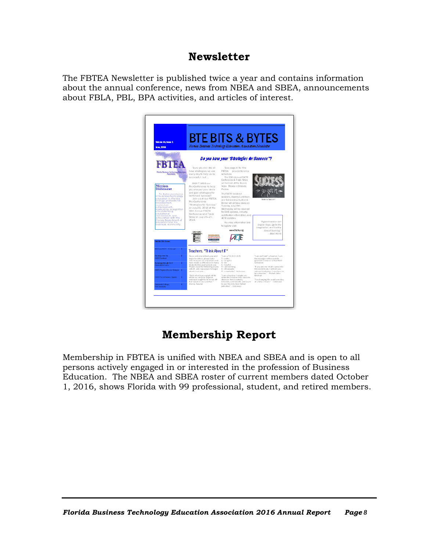### **Newsletter**

The FBTEA Newsletter is published twice a year and contains information about the annual conference, news from NBEA and SBEA, announcements about FBLA, PBL, BPA activities, and articles of interest.



## **Membership Report**

Membership in FBTEA is unified with NBEA and SBEA and is open to all persons actively engaged in or interested in the profession of Business Education. The NBEA and SBEA roster of current members dated October 1, 2016, shows Florida with 99 professional, student, and retired members.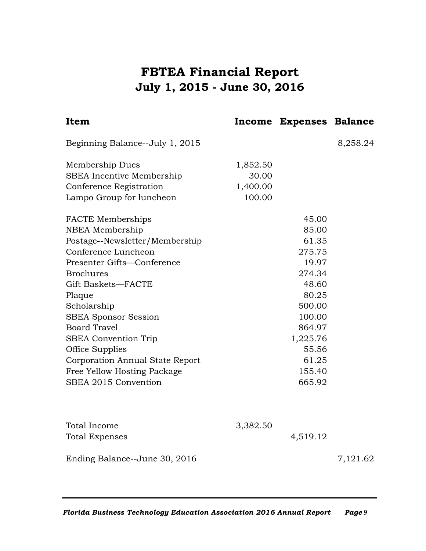## **FBTEA Financial Report July 1, 2015 - June 30, 2016**

| Item                            |          | Income Expenses Balance |          |
|---------------------------------|----------|-------------------------|----------|
| Beginning Balance--July 1, 2015 |          |                         | 8,258.24 |
| Membership Dues                 | 1,852.50 |                         |          |
| SBEA Incentive Membership       | 30.00    |                         |          |
| Conference Registration         | 1,400.00 |                         |          |
| Lampo Group for luncheon        | 100.00   |                         |          |
| FACTE Memberships               |          | 45.00                   |          |
| NBEA Membership                 |          | 85.00                   |          |
| Postage--Newsletter/Membership  |          | 61.35                   |          |
| Conference Luncheon             |          | 275.75                  |          |
| Presenter Gifts-Conference      |          | 19.97                   |          |
| <b>Brochures</b>                |          | 274.34                  |          |
| Gift Baskets-FACTE              |          | 48.60                   |          |
| Plaque                          |          | 80.25                   |          |
| Scholarship                     |          | 500.00                  |          |
| <b>SBEA Sponsor Session</b>     |          | 100.00                  |          |
| <b>Board Travel</b>             |          | 864.97                  |          |
| <b>SBEA</b> Convention Trip     |          | 1,225.76                |          |
| Office Supplies                 |          | 55.56                   |          |
| Corporation Annual State Report |          | 61.25                   |          |
| Free Yellow Hosting Package     |          | 155.40                  |          |
| SBEA 2015 Convention            |          | 665.92                  |          |
|                                 |          |                         |          |
| <b>Total Income</b>             | 3,382.50 |                         |          |
| <b>Total Expenses</b>           |          | 4,519.12                |          |
| Ending Balance--June 30, 2016   |          |                         | 7,121.62 |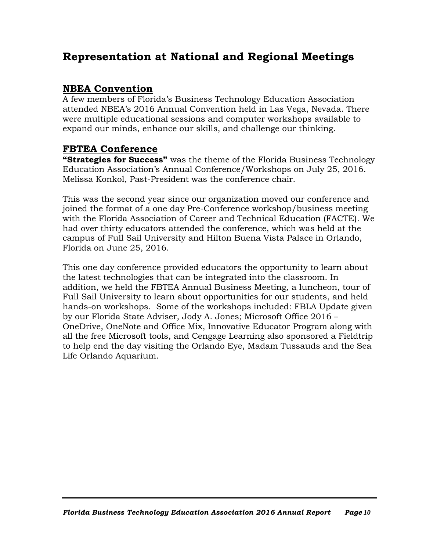## **Representation at National and Regional Meetings**

### **NBEA Convention**

A few members of Florida's Business Technology Education Association attended NBEA's 2016 Annual Convention held in Las Vega, Nevada. There were multiple educational sessions and computer workshops available to expand our minds, enhance our skills, and challenge our thinking.

### **FBTEA Conference**

**"Strategies for Success"** was the theme of the Florida Business Technology Education Association's Annual Conference/Workshops on July 25, 2016. Melissa Konkol, Past-President was the conference chair.

This was the second year since our organization moved our conference and joined the format of a one day Pre-Conference workshop/business meeting with the Florida Association of Career and Technical Education (FACTE). We had over thirty educators attended the conference, which was held at the campus of Full Sail University and Hilton Buena Vista Palace in Orlando, Florida on June 25, 2016.

This one day conference provided educators the opportunity to learn about the latest technologies that can be integrated into the classroom. In addition, we held the FBTEA Annual Business Meeting, a luncheon, tour of Full Sail University to learn about opportunities for our students, and held hands-on workshops. Some of the workshops included: FBLA Update given by our Florida State Adviser, Jody A. Jones; Microsoft Office 2016 – OneDrive, OneNote and Office Mix, Innovative Educator Program along with all the free Microsoft tools, and Cengage Learning also sponsored a Fieldtrip to help end the day visiting the Orlando Eye, Madam Tussauds and the Sea Life Orlando Aquarium.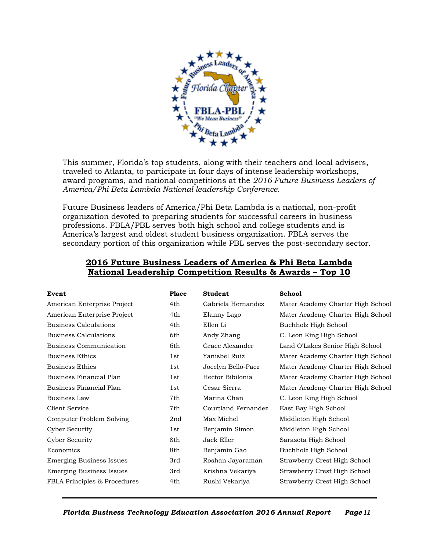

This summer, Florida's top students, along with their teachers and local advisers, traveled to Atlanta, to participate in four days of intense leadership workshops, award programs, and national competitions at the *2016 Future Business Leaders of America/Phi Beta Lambda National leadership Conference.*

Future Business leaders of America/Phi Beta Lambda is a national, non-profit organization devoted to preparing students for successful careers in business professions. FBLA/PBL serves both high school and college students and is America's largest and oldest student business organization. FBLA serves the secondary portion of this organization while PBL serves the post-secondary sector.

| Event                           | Place           | <b>Student</b>      | <b>School</b>                     |
|---------------------------------|-----------------|---------------------|-----------------------------------|
| American Enterprise Project     | 4th             | Gabriela Hernandez  | Mater Academy Charter High School |
| American Enterprise Project     | 4th             | Elanny Lago         | Mater Academy Charter High School |
| Business Calculations           | 4th             | Ellen Li            | Buchholz High School              |
| Business Calculations           | 6th             | Andy Zhang          | C. Leon King High School          |
| Business Communication          | 6th             | Grace Alexander     | Land O'Lakes Senior High School   |
| Business Ethics                 | 1 <sub>st</sub> | Yanisbel Ruiz       | Mater Academy Charter High School |
| <b>Business Ethics</b>          | 1st             | Jocelyn Bello-Paez  | Mater Academy Charter High School |
| Business Financial Plan         | 1st             | Hector Bibilonia    | Mater Academy Charter High School |
| Business Financial Plan         | 1st             | Cesar Sierra        | Mater Academy Charter High School |
| Business Law                    | 7th             | Marina Chan         | C. Leon King High School          |
| <b>Client Service</b>           | 7th             | Courtland Fernandez | East Bay High School              |
| Computer Problem Solving        | 2nd             | Max Michel          | Middleton High School             |
| Cyber Security                  | 1st             | Benjamin Simon      | Middleton High School             |
| Cyber Security                  | 8th             | Jack Eller          | Sarasota High School              |
| Economics                       | 8th             | Benjamin Gao        | Buchholz High School              |
| <b>Emerging Business Issues</b> | 3rd             | Roshan Jayaraman    | Strawberry Crest High School      |
| <b>Emerging Business Issues</b> | 3rd             | Krishna Vekariya    | Strawberry Crest High School      |
| FBLA Principles & Procedures    | 4th             | Rushi Vekariya      | Strawberry Crest High School      |

#### **2016 Future Business Leaders of America & Phi Beta Lambda National Leadership Competition Results & Awards – Top 10**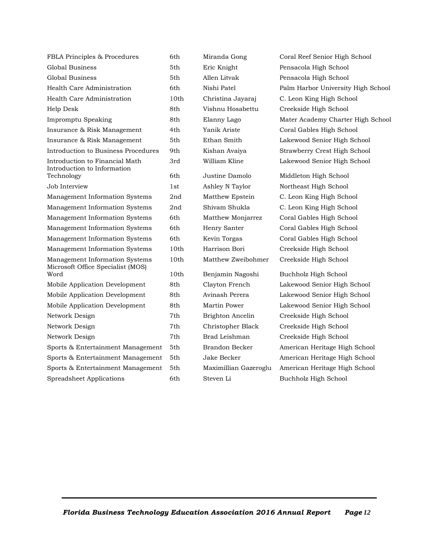| FBLA Principles & Procedures                                        | 6th             | Miranda Gong          | Coral Reef Senior High |
|---------------------------------------------------------------------|-----------------|-----------------------|------------------------|
| Global Business                                                     | 5th             | Eric Knight           | Pensacola High School  |
| Global Business                                                     | 5th             | Allen Litvak          | Pensacola High School  |
| Health Care Administration                                          | 6th             | Nishi Patel           | Palm Harbor Universit  |
| Health Care Administration                                          | 10th            | Christina Jayaraj     | C. Leon King High Sch  |
| Help Desk                                                           | 8th             | Vishnu Hosabettu      | Creekside High School  |
| Impromptu Speaking                                                  | 8th             | Elanny Lago           | Mater Academy Chart    |
| Insurance & Risk Management                                         | 4th             | Yanik Ariste          | Coral Gables High Sch  |
| Insurance & Risk Management                                         | 5th             | Ethan Smith           | Lakewood Senior High   |
| Introduction to Business Procedures                                 | 9th             | Kishan Avaiya         | Strawberry Crest High  |
| Introduction to Financial Math<br>Introduction to Information       | 3rd             | William Kline         | Lakewood Senior High   |
| Technology                                                          | 6th             | Justine Damolo        | Middleton High Schoo.  |
| Job Interview                                                       | 1st             | Ashley N Taylor       | Northeast High School  |
| Management Information Systems                                      | 2nd             | Matthew Epstein       | C. Leon King High Sch  |
| Management Information Systems                                      | 2 <sub>nd</sub> | Shivam Shukla         | C. Leon King High Sch  |
| Management Information Systems                                      | 6th             | Matthew Monjarrez     | Coral Gables High Sch  |
| Management Information Systems                                      | 6th             | Henry Santer          | Coral Gables High Sch  |
| Management Information Systems                                      | 6th             | Kevin Torgas          | Coral Gables High Sch  |
| Management Information Systems                                      | 10th            | Harrison Bori         | Creekside High School  |
| Management Information Systems<br>Microsoft Office Specialist (MOS) | 10th            | Matthew Zweibohmer    | Creekside High School  |
| Word                                                                | 10th            | Benjamin Nagoshi      | Buchholz High School   |
| Mobile Application Development                                      | 8th             | Clayton French        | Lakewood Senior High   |
| Mobile Application Development                                      | 8th             | Avinash Perera        | Lakewood Senior High   |
| Mobile Application Development                                      | 8th             | Martin Power          | Lakewood Senior High   |
| Network Design                                                      | 7th.            | Brighton Ancelin      | Creekside High School  |
| Network Design                                                      | 7th             | Christopher Black     | Creekside High School  |
| Network Design                                                      | 7th             | Brad Leishman         | Creekside High School  |
| Sports & Entertainment Management                                   | 5th             | Brandon Becker        | American Heritage Hig  |
| Sports & Entertainment Management                                   | 5th             | Jake Becker           | American Heritage Hig  |
| Sports & Entertainment Management                                   | 5th             | Maximillian Gazeroglu | American Heritage Hig  |
| Spreadsheet Applications                                            | 6th             | Steven Li             | Buchholz High School   |

Miranda Gong Coral Reef Senior High School Nishi Patel Palm Harbor University High School health Christina Jayaraj C. Leon King High School Elanny Lago Mater Academy Charter High School Yanik Ariste Coral Gables High School Ethan Smith Lakewood Senior High School Kishan Avaiya Strawberry Crest High School William Kline Lakewood Senior High School

> Justine Damolo Middleton High School Ashley N Taylor Northeast High School Matthew Epstein C. Leon King High School Shivam Shukla C. Leon King High School Matthew Monjarrez Coral Gables High School Henry Santer Coral Gables High School Kevin Torgas Coral Gables High School

Clayton French Lakewood Senior High School Avinash Perera **Lakewood Senior High School** Martin Power **Lakewood Senior High School** Brighton Ancelin Creekside High School Christopher Black Creekside High School Brad Leishman Creekside High School Brandon Becker American Heritage High School Jake Becker **American Heritage High School** Maximillian Gazeroglu American Heritage High School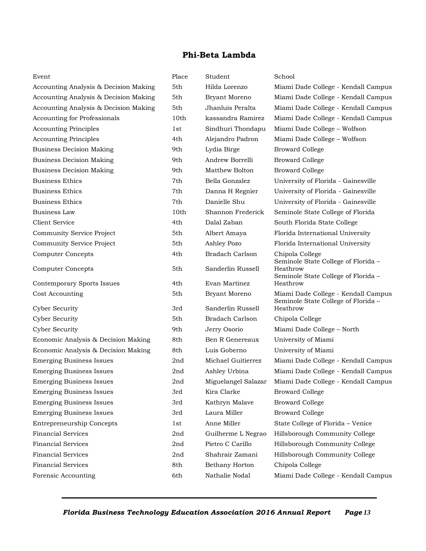### **Phi-Beta Lambda**

| Event                                 | Place | Student                | School                                                                                 |
|---------------------------------------|-------|------------------------|----------------------------------------------------------------------------------------|
| Accounting Analysis & Decision Making | 5th   | Hilda Lorenzo          | Miami Dade College - Kendall Campus                                                    |
| Accounting Analysis & Decision Making | 5th   | Bryant Moreno          | Miami Dade College - Kendall Campus                                                    |
| Accounting Analysis & Decision Making | 5th   | Jhanluis Peralta       | Miami Dade College - Kendall Campus                                                    |
| <b>Accounting for Professionals</b>   | 10th  | kassandra Ramirez      | Miami Dade College - Kendall Campus                                                    |
| <b>Accounting Principles</b>          | 1st   | Sindhuri Thondapu      | Miami Dade College - Wolfson                                                           |
| <b>Accounting Principles</b>          | 4th   | Alejandro Padron       | Miami Dade College – Wolfson                                                           |
| <b>Business Decision Making</b>       | 9th   | Lydia Birge            | <b>Broward College</b>                                                                 |
| <b>Business Decision Making</b>       | 9th   | Andrew Borrelli        | <b>Broward College</b>                                                                 |
| <b>Business Decision Making</b>       | 9th   | Matthew Bolton         | <b>Broward College</b>                                                                 |
| Business Ethics                       | 7th   | Bella Gonzalez         | University of Florida - Gainesville                                                    |
| <b>Business Ethics</b>                | 7th   | Danna H Regnier        | University of Florida - Gainesville                                                    |
| Business Ethics                       | 7th   | Danielle Shu           | University of Florida - Gainesville                                                    |
| Business Law                          | 10th  | Shannon Frederick      | Seminole State College of Florida                                                      |
| Client Service                        | 4th   | Dalal Zaban            | South Florida State College                                                            |
| Community Service Project             | 5th   | Albert Amaya           | Florida International University                                                       |
| Community Service Project             | 5th   | Ashley Pozo            | Florida International University                                                       |
| <b>Computer Concepts</b>              | 4th   | <b>Bradach Carlson</b> | Chipola College                                                                        |
| <b>Computer Concepts</b>              | 5th   | Sanderlin Russell      | Seminole State College of Florida -<br>Heathrow<br>Seminole State College of Florida - |
| Contemporary Sports Issues            | 4th   | Evan Martinez          | Heathrow                                                                               |
| Cost Accounting                       | 5th   | Bryant Moreno          | Miami Dade College - Kendall Campus<br>Seminole State College of Florida -             |
| Cyber Security                        | 3rd   | Sanderlin Russell      | Heathrow                                                                               |
| <b>Cyber Security</b>                 | 5th   | Bradach Carlson        | Chipola College                                                                        |
| <b>Cyber Security</b>                 | 9th   | Jerry Osorio           | Miami Dade College - North                                                             |
| Economic Analysis & Decision Making   | 8th   | Ben R Genereaux        | University of Miami                                                                    |
| Economic Analysis & Decision Making   | 8th   | Luis Goberno           | University of Miami                                                                    |
| <b>Emerging Business Issues</b>       | 2nd   | Michael Guitierrez     | Miami Dade College - Kendall Campus                                                    |
| <b>Emerging Business Issues</b>       | 2nd   | Ashley Urbina          | Miami Dade College - Kendall Campus                                                    |
| <b>Emerging Business Issues</b>       | 2nd   | Miguelangel Salazar    | Miami Dade College - Kendall Campus                                                    |
| <b>Emerging Business Issues</b>       | 3rd   | Kira Clarke            | <b>Broward College</b>                                                                 |
| <b>Emerging Business Issues</b>       | 3rd   | Kathryn Malave         | <b>Broward College</b>                                                                 |
| <b>Emerging Business Issues</b>       | 3rd   | Laura Miller           | <b>Broward College</b>                                                                 |
| <b>Entrepreneurship Concepts</b>      | 1st   | Anne Miller            | State College of Florida - Venice                                                      |
| <b>Financial Services</b>             | 2nd   | Guilherme L Negrao     | Hillsborough Community College                                                         |
| <b>Financial Services</b>             | 2nd   | Pietro C Carillo       | Hillsborough Community College                                                         |
| <b>Financial Services</b>             | 2nd   | Shahrair Zamani        | Hillsborough Community College                                                         |
| <b>Financial Services</b>             | 8th   | Bethany Horton         | Chipola College                                                                        |
| Forensic Accounting                   |       |                        |                                                                                        |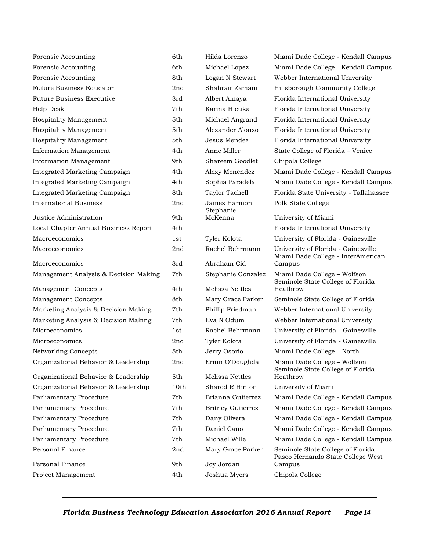| Forensic Accounting                    | 6th        | Hilda Lorenzo              | Miami Dade College - Kendall Campus                                       |
|----------------------------------------|------------|----------------------------|---------------------------------------------------------------------------|
| Forensic Accounting                    | 6th        | Michael Lopez              | Miami Dade College - Kendall Campus                                       |
| Forensic Accounting                    | 8th        | Logan N Stewart            | Webber International University                                           |
| <b>Future Business Educator</b>        | 2nd        | Shahrair Zamani            | Hillsborough Community College                                            |
| <b>Future Business Executive</b>       | 3rd        | Albert Amaya               | Florida International University                                          |
| Help Desk                              | 7th        | Karina Hleuka              | Florida International University                                          |
| Hospitality Management                 | 5th        | Michael Angrand            | Florida International University                                          |
| Hospitality Management                 | 5th        | Alexander Alonso           | Florida International University                                          |
| Hospitality Management                 | 5th        | Jesus Mendez               | Florida International University                                          |
| Information Management                 | 4th        | Anne Miller                | State College of Florida - Venice                                         |
| Information Management                 | 9th        | Shareem Goodlet            | Chipola College                                                           |
| Integrated Marketing Campaign          | 4th        | Alexy Menendez             | Miami Dade College - Kendall Campus                                       |
| Integrated Marketing Campaign          | 4th        | Sophia Paradela            | Miami Dade College - Kendall Campus                                       |
| Integrated Marketing Campaign          | 8th        | <b>Taylor Tachell</b>      | Florida State University - Tallahassee                                    |
| <b>International Business</b>          | 2nd        | James Harmon<br>Stephanie  | Polk State College                                                        |
| Justice Administration                 | 9th        | McKenna                    | University of Miami                                                       |
| Local Chapter Annual Business Report   | 4th        |                            | Florida International University                                          |
| Macroeconomics                         | 1st        | Tyler Kolota               | University of Florida - Gainesville                                       |
| Macroeconomics                         | 2nd        | Rachel Behrmann            | University of Florida - Gainesville<br>Miami Dade College - InterAmerican |
| Macroeconomics                         | 3rd        | Abraham Cid                | Campus                                                                    |
|                                        |            |                            |                                                                           |
| Management Analysis & Decision Making  | 7th        | Stephanie Gonzalez         | Miami Dade College - Wolfson<br>Seminole State College of Florida -       |
| <b>Management Concepts</b>             | 4th        | Melissa Nettles            | Heathrow                                                                  |
| <b>Management Concepts</b>             | 8th        | Mary Grace Parker          | Seminole State College of Florida                                         |
| Marketing Analysis & Decision Making   | 7th        | Phillip Friedman           | Webber International University                                           |
| Marketing Analysis & Decision Making   | 7th        | Eva N Odum                 | Webber International University                                           |
| Microeconomics                         | 1st        | Rachel Behrmann            | University of Florida - Gainesville                                       |
| Microeconomics                         | 2nd        | Tyler Kolota               | University of Florida - Gainesville                                       |
| Networking Concepts                    | 5th        | Jerry Osorio               | Miami Dade College - North                                                |
| Organizational Behavior & Leadership   | 2nd        | Erinn O'Doughda            | Miami Dade College - Wolfson<br>Seminole State College of Florida -       |
| Organizational Behavior & Leadership   | 5th        | Melissa Nettles            | Heathrow                                                                  |
| Organizational Behavior & Leadership   | 10th       | Sharod R Hinton            | University of Miami                                                       |
| Parliamentary Procedure                | 7th        | Brianna Gutierrez          | Miami Dade College - Kendall Campus                                       |
| Parliamentary Procedure                | 7th        | <b>Britney Gutierrez</b>   | Miami Dade College - Kendall Campus                                       |
| Parliamentary Procedure                | 7th        | Dany Olivera               | Miami Dade College - Kendall Campus                                       |
| Parliamentary Procedure                | 7th        | Daniel Cano                | Miami Dade College - Kendall Campus                                       |
| Parliamentary Procedure                | 7th        | Michael Wille              | Miami Dade College - Kendall Campus                                       |
| Personal Finance                       | 2nd        | Mary Grace Parker          | Seminole State College of Florida<br>Pasco Hernando State College West    |
| Personal Finance<br>Project Management | 9th<br>4th | Joy Jordan<br>Joshua Myers | Campus<br>Chipola College                                                 |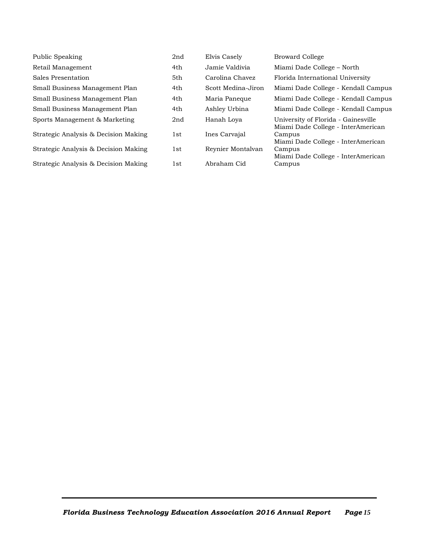| Public Speaking                      | 2nd | Elvis Casely       | <b>Broward College</b>                                                    |
|--------------------------------------|-----|--------------------|---------------------------------------------------------------------------|
| Retail Management                    | 4th | Jamie Valdivia     | Miami Dade College – North                                                |
| Sales Presentation                   | 5th | Carolina Chavez    | Florida International University                                          |
| Small Business Management Plan       | 4th | Scott Medina-Jiron | Miami Dade College - Kendall Campus                                       |
| Small Business Management Plan       | 4th | Maria Paneque      | Miami Dade College - Kendall Campus                                       |
| Small Business Management Plan       | 4th | Ashley Urbina      | Miami Dade College - Kendall Campus                                       |
| Sports Management & Marketing        | 2nd | Hanah Lova         | University of Florida - Gainesville<br>Miami Dade College - InterAmerican |
| Strategic Analysis & Decision Making | 1st | Ines Carvajal      | Campus<br>Miami Dade College - InterAmerican                              |
| Strategic Analysis & Decision Making | 1st | Reynier Montalvan  | Campus<br>Miami Dade College - InterAmerican                              |
| Strategic Analysis & Decision Making | 1st | Abraham Cid        | Campus                                                                    |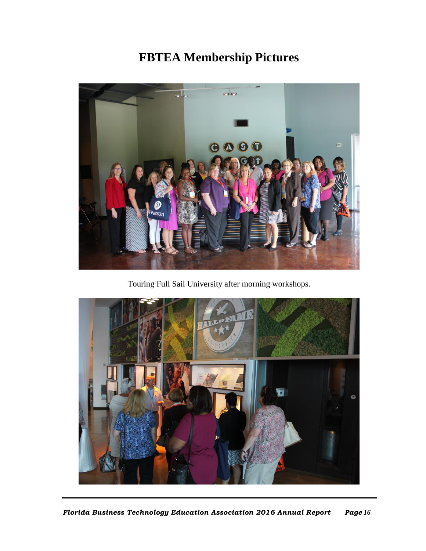# **FBTEA Membership Pictures**



Touring Full Sail University after morning workshops.